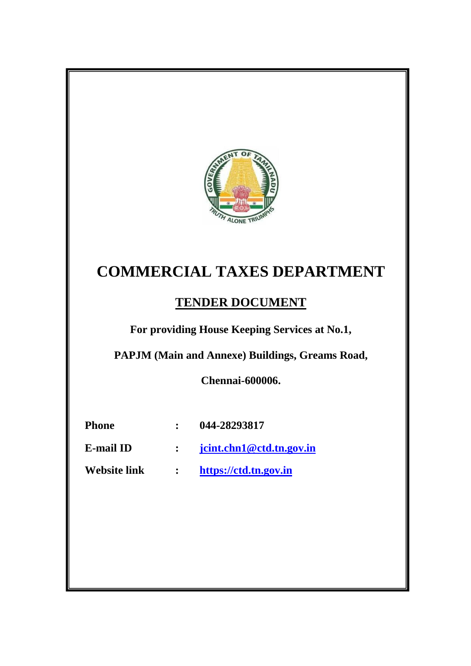

# **COMMERCIAL TAXES DEPARTMENT**

# **TENDER DOCUMENT**

**For providing House Keeping Services at No.1,** 

**PAPJM (Main and Annexe) Buildings, Greams Road,**

**Chennai-600006.**

| <b>Phone</b> | 044-28293817 |
|--------------|--------------|
|--------------|--------------|

- **E-mail ID : [jcint.chn1@ctd.tn.gov.in](mailto:jcint.chn1@ctd.tn.gov.in)**
- **Website link : [https://ctd.tn.gov.in](https://ctd.tn.gov.in/)**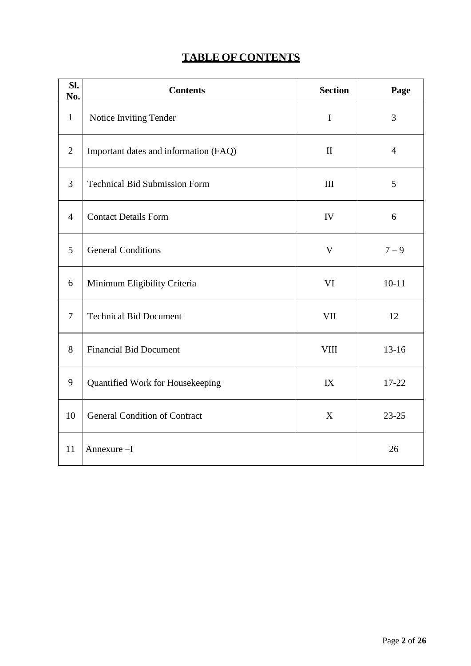# **TABLE OF CONTENTS**

| SI.<br>No.     | <b>Contents</b>                       | <b>Section</b> | Page           |
|----------------|---------------------------------------|----------------|----------------|
| $\mathbf{1}$   | Notice Inviting Tender                | $\mathbf I$    | 3              |
| $\overline{2}$ | Important dates and information (FAQ) | $\mathbf{I}$   | $\overline{4}$ |
| $\mathfrak{Z}$ | <b>Technical Bid Submission Form</b>  | $\rm III$      | 5              |
| $\overline{4}$ | <b>Contact Details Form</b>           | IV             | 6              |
| 5              | <b>General Conditions</b>             | $\mathbf V$    | $7 - 9$        |
| 6              | Minimum Eligibility Criteria          | VI             | $10 - 11$      |
| $\tau$         | <b>Technical Bid Document</b>         | <b>VII</b>     | 12             |
| 8              | <b>Financial Bid Document</b>         | <b>VIII</b>    | $13-16$        |
| 9              | Quantified Work for Housekeeping      | IX             | 17-22          |
| 10             | <b>General Condition of Contract</b>  | X              | $23 - 25$      |
| 11             | Annexure-I                            |                | 26             |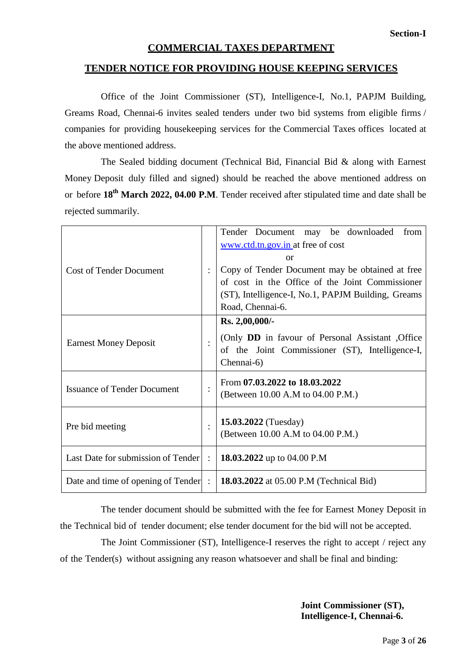#### **COMMERCIAL TAXES DEPARTMENT**

#### **TENDER NOTICE FOR PROVIDING HOUSE KEEPING SERVICES**

Office of the Joint Commissioner (ST), Intelligence-I, No.1, PAPJM Building, Greams Road, Chennai-6 invites sealed tenders under two bid systems from eligible firms / companies for providing housekeeping services for the Commercial Taxes offices located at the above mentioned address.

The Sealed bidding document (Technical Bid, Financial Bid & along with Earnest Money Deposit duly filled and signed) should be reached the above mentioned address on or before **18th March 2022, 04.00 P.M**. Tender received after stipulated time and date shall be rejected summarily.

| <b>Cost of Tender Document</b>     | $\vdots$       | Tender Document may be downloaded<br>from<br>www.ctd.tn.gov.in at free of cost<br>$\alpha$<br>Copy of Tender Document may be obtained at free<br>of cost in the Office of the Joint Commissioner<br>(ST), Intelligence-I, No.1, PAPJM Building, Greams<br>Road, Chennai-6. |  |  |  |
|------------------------------------|----------------|----------------------------------------------------------------------------------------------------------------------------------------------------------------------------------------------------------------------------------------------------------------------------|--|--|--|
| <b>Earnest Money Deposit</b>       | $\ddot{\cdot}$ | Rs. 2,00,000/-<br>(Only DD in favour of Personal Assistant, Office)<br>of the Joint Commissioner (ST), Intelligence-I,<br>Chennai-6)                                                                                                                                       |  |  |  |
| <b>Issuance of Tender Document</b> | $\bullet$      | From 07.03.2022 to 18.03.2022<br>(Between 10.00 A.M to 04.00 P.M.)                                                                                                                                                                                                         |  |  |  |
| Pre bid meeting                    | $\vdots$       | <b>15.03.2022</b> (Tuesday)<br>(Between 10.00 A.M to 04.00 P.M.)                                                                                                                                                                                                           |  |  |  |
| Last Date for submission of Tender | $\ddot{\cdot}$ | 18.03.2022 up to 04.00 P.M                                                                                                                                                                                                                                                 |  |  |  |
| Date and time of opening of Tender | $\ddot{\cdot}$ | 18.03.2022 at 05.00 P.M (Technical Bid)                                                                                                                                                                                                                                    |  |  |  |

The tender document should be submitted with the fee for Earnest Money Deposit in the Technical bid of tender document; else tender document for the bid will not be accepted.

The Joint Commissioner (ST), Intelligence-I reserves the right to accept / reject any of the Tender(s) without assigning any reason whatsoever and shall be final and binding:

> **Joint Commissioner (ST), Intelligence-I, Chennai-6.**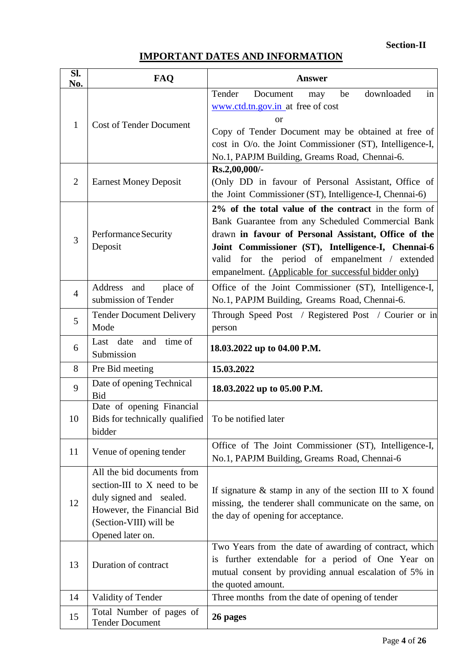# **IMPORTANT DATES AND INFORMATION**

| SI.<br>No.     | <b>FAQ</b>                                                                                                                                                       | <b>Answer</b>                                                                                                                                                                                                                                                                                                                        |  |  |
|----------------|------------------------------------------------------------------------------------------------------------------------------------------------------------------|--------------------------------------------------------------------------------------------------------------------------------------------------------------------------------------------------------------------------------------------------------------------------------------------------------------------------------------|--|--|
| 1              | <b>Cost of Tender Document</b>                                                                                                                                   | downloaded<br>in<br>Tender<br>Document<br>be<br>may<br>www.ctd.tn.gov.in at free of cost<br><b>or</b><br>Copy of Tender Document may be obtained at free of<br>cost in O/o. the Joint Commissioner (ST), Intelligence-I,<br>No.1, PAPJM Building, Greams Road, Chennai-6.                                                            |  |  |
| $\overline{2}$ | <b>Earnest Money Deposit</b>                                                                                                                                     | Rs.2,00,000/-<br>(Only DD in favour of Personal Assistant, Office of<br>the Joint Commissioner (ST), Intelligence-I, Chennai-6)                                                                                                                                                                                                      |  |  |
| 3              | Performance Security<br>Deposit                                                                                                                                  | 2% of the total value of the contract in the form of<br>Bank Guarantee from any Scheduled Commercial Bank<br>drawn in favour of Personal Assistant, Office of the<br>Joint Commissioner (ST), Intelligence-I, Chennai-6<br>for the period of empanelment / extended<br>valid<br>empanelment. (Applicable for successful bidder only) |  |  |
| $\overline{4}$ | place of<br>Address and<br>submission of Tender                                                                                                                  | Office of the Joint Commissioner (ST), Intelligence-I,<br>No.1, PAPJM Building, Greams Road, Chennai-6.                                                                                                                                                                                                                              |  |  |
| 5              | <b>Tender Document Delivery</b><br>Mode                                                                                                                          | Through Speed Post / Registered Post / Courier or in<br>person                                                                                                                                                                                                                                                                       |  |  |
| 6              | time of<br>and<br>Last date<br>Submission                                                                                                                        | 18.03.2022 up to 04.00 P.M.                                                                                                                                                                                                                                                                                                          |  |  |
| 8              | Pre Bid meeting                                                                                                                                                  | 15.03.2022                                                                                                                                                                                                                                                                                                                           |  |  |
| 9              | Date of opening Technical<br><b>Bid</b>                                                                                                                          | 18.03.2022 up to 05.00 P.M.                                                                                                                                                                                                                                                                                                          |  |  |
| 10             | Date of opening Financial<br>Bids for technically qualified<br>bidder                                                                                            | To be notified later                                                                                                                                                                                                                                                                                                                 |  |  |
| 11             | Venue of opening tender                                                                                                                                          | Office of The Joint Commissioner (ST), Intelligence-I,<br>No.1, PAPJM Building, Greams Road, Chennai-6                                                                                                                                                                                                                               |  |  |
| 12             | All the bid documents from<br>section-III to X need to be<br>duly signed and sealed.<br>However, the Financial Bid<br>(Section-VIII) will be<br>Opened later on. | If signature $\&$ stamp in any of the section III to X found<br>missing, the tenderer shall communicate on the same, on<br>the day of opening for acceptance.                                                                                                                                                                        |  |  |
| 13             | Duration of contract                                                                                                                                             | Two Years from the date of awarding of contract, which<br>is further extendable for a period of One Year on<br>mutual consent by providing annual escalation of 5% in<br>the quoted amount.                                                                                                                                          |  |  |
| 14             | Validity of Tender                                                                                                                                               | Three months from the date of opening of tender                                                                                                                                                                                                                                                                                      |  |  |
| 15             | Total Number of pages of<br><b>Tender Document</b>                                                                                                               | 26 pages                                                                                                                                                                                                                                                                                                                             |  |  |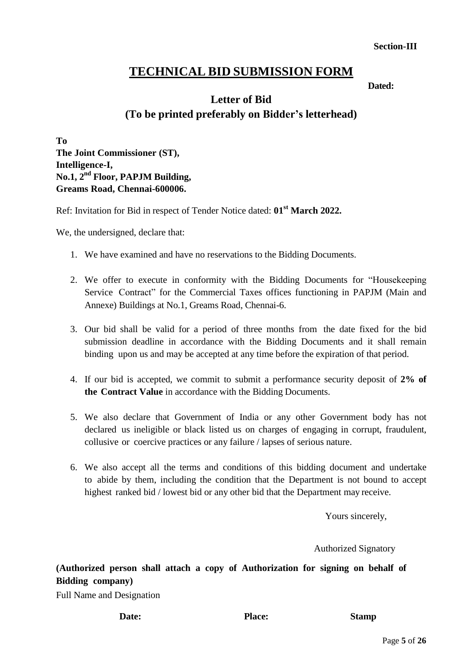#### **Section-III**

# **TECHNICAL BID SUBMISSION FORM**

*Dated:* **Dated:** 

# **Letter of Bid (To be printed preferably on Bidder's letterhead)**

**To The Joint Commissioner (ST), Intelligence-I, No.1, 2nd Floor, PAPJM Building, Greams Road, Chennai-600006.**

Ref: Invitation for Bid in respect of Tender Notice dated: **01st March 2022.**

We, the undersigned, declare that:

- 1. We have examined and have no reservations to the Bidding Documents.
- 2. We offer to execute in conformity with the Bidding Documents for "Housekeeping Service Contract" for the Commercial Taxes offices functioning in PAPJM (Main and Annexe) Buildings at No.1, Greams Road, Chennai-6.
- 3. Our bid shall be valid for a period of three months from the date fixed for the bid submission deadline in accordance with the Bidding Documents and it shall remain binding upon us and may be accepted at any time before the expiration of that period.
- 4. If our bid is accepted, we commit to submit a performance security deposit of **2% of the Contract Value** in accordance with the Bidding Documents.
- 5. We also declare that Government of India or any other Government body has not declared us ineligible or black listed us on charges of engaging in corrupt, fraudulent, collusive or coercive practices or any failure / lapses of serious nature.
- 6. We also accept all the terms and conditions of this bidding document and undertake to abide by them, including the condition that the Department is not bound to accept highest ranked bid / lowest bid or any other bid that the Department may receive.

Yours sincerely,

Authorized Signatory

**(Authorized person shall attach a copy of Authorization for signing on behalf of Bidding company)**

Full Name and Designation

Date: Place: Stamp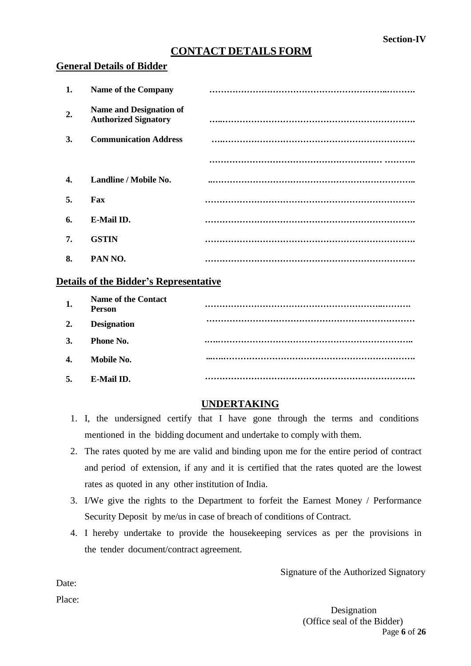# **CONTACT DETAILS FORM**

#### **General Details of Bidder**

| 1.            | <b>Name of the Company</b>                                    |  |
|---------------|---------------------------------------------------------------|--|
| 2.            | <b>Name and Designation of</b><br><b>Authorized Signatory</b> |  |
| <sup>3.</sup> | <b>Communication Address</b>                                  |  |
|               |                                                               |  |
| 4.            | Landline / Mobile No.                                         |  |
| 5.            | Fax                                                           |  |
| 6.            | E-Mail ID.                                                    |  |
| 7.            | <b>GSTIN</b>                                                  |  |
| 8.            | PAN NO.                                                       |  |

#### **Details of the Bidder's Representative**

| 1. | <b>Name of the Contact</b><br><b>Person</b> |  |
|----|---------------------------------------------|--|
| 2. | <b>Designation</b>                          |  |
| 3. | <b>Phone No.</b>                            |  |
| 4. | Mobile No.                                  |  |
| 5. | E-Mail ID.                                  |  |

### **UNDERTAKING**

- 1. I, the undersigned certify that I have gone through the terms and conditions mentioned in the bidding document and undertake to comply with them.
- 2. The rates quoted by me are valid and binding upon me for the entire period of contract and period of extension, if any and it is certified that the rates quoted are the lowest rates as quoted in any other institution of India.
- 3. I/We give the rights to the Department to forfeit the Earnest Money / Performance Security Deposit by me/us in case of breach of conditions of Contract.
- 4. I hereby undertake to provide the housekeeping services as per the provisions in the tender document/contract agreement.

Signature of the Authorized Signatory

Page **6** of **26** Designation (Office seal of the Bidder)

Date:

Place: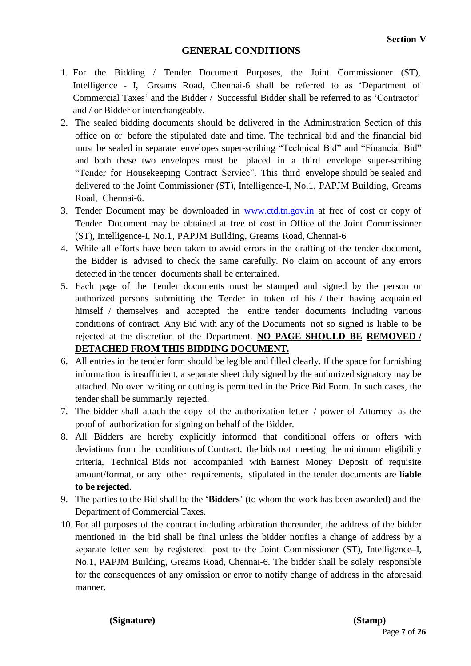### **GENERAL CONDITIONS**

- 1. For the Bidding / Tender Document Purposes, the Joint Commissioner (ST), Intelligence - I, Greams Road, Chennai-6 shall be referred to as "Department of Commercial Taxes' and the Bidder / Successful Bidder shall be referred to as 'Contractor' and / or Bidder or interchangeably.
- 2. The sealed bidding documents should be delivered in the Administration Section of this office on or before the stipulated date and time. The technical bid and the financial bid must be sealed in separate envelopes super-scribing "Technical Bid" and "Financial Bid" and both these two envelopes must be placed in a third envelope super-scribing "Tender for Housekeeping Contract Service". This third envelope should be sealed and delivered to the Joint Commissioner (ST), Intelligence-I, No.1, PAPJM Building, Greams Road, Chennai-6.
- 3. Tender Document may be downloaded in [www.ctd.tn.gov.in](http://www.ctd.tn.gov.in/) at free of cost or copy of Tender Document may be obtained at free of cost in Office of the Joint Commissioner (ST), Intelligence-I, No.1, PAPJM Building, Greams Road, Chennai-6
- 4. While all efforts have been taken to avoid errors in the drafting of the tender document, the Bidder is advised to check the same carefully. No claim on account of any errors detected in the tender documents shall be entertained.
- 5. Each page of the Tender documents must be stamped and signed by the person or authorized persons submitting the Tender in token of his / their having acquainted himself / themselves and accepted the entire tender documents including various conditions of contract. Any Bid with any of the Documents not so signed is liable to be rejected at the discretion of the Department. **NO PAGE SHOULD BE REMOVED / DETACHED FROM THIS BIDDING DOCUMENT.**
- 6. All entries in the tender form should be legible and filled clearly. If the space for furnishing information is insufficient, a separate sheet duly signed by the authorized signatory may be attached. No over writing or cutting is permitted in the Price Bid Form. In such cases, the tender shall be summarily rejected.
- 7. The bidder shall attach the copy of the authorization letter / power of Attorney as the proof of authorization for signing on behalf of the Bidder.
- 8. All Bidders are hereby explicitly informed that conditional offers or offers with deviations from the conditions of Contract, the bids not meeting the minimum eligibility criteria, Technical Bids not accompanied with Earnest Money Deposit of requisite amount/format, or any other requirements, stipulated in the tender documents are **liable to be rejected**.
- 9. The parties to the Bid shall be the "**Bidders**" (to whom the work has been awarded) and the Department of Commercial Taxes.
- 10. For all purposes of the contract including arbitration thereunder, the address of the bidder mentioned in the bid shall be final unless the bidder notifies a change of address by a separate letter sent by registered post to the Joint Commissioner (ST), Intelligence–I, No.1, PAPJM Building, Greams Road, Chennai-6. The bidder shall be solely responsible for the consequences of any omission or error to notify change of address in the aforesaid manner.

**(Signature) (Stamp)**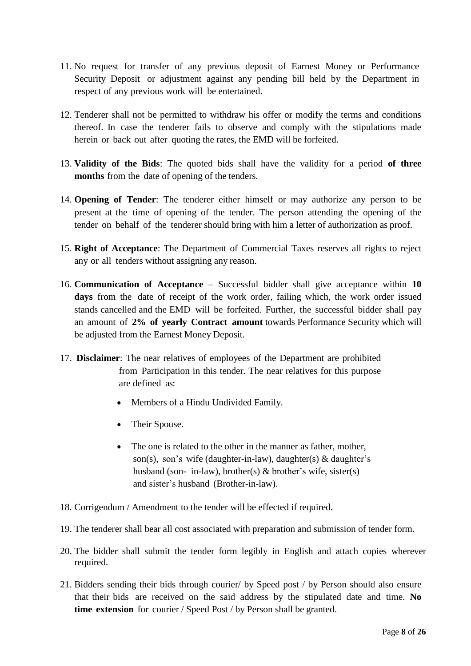- 11. No request for transfer of any previous deposit of Earnest Money or Performance Security Deposit or adjustment against any pending bill held by the Department in respect of any previous work will be entertained.
- 12. Tenderer shall not be permitted to withdraw his offer or modify the terms and conditions thereof. In case the tenderer fails to observe and comply with the stipulations made herein or back out after quoting the rates, the EMD will be forfeited.
- 13. **Validity of the Bids**: The quoted bids shall have the validity for a period **of three months** from the date of opening of the tenders.
- 14. **Opening of Tender**: The tenderer either himself or may authorize any person to be present at the time of opening of the tender. The person attending the opening of the tender on behalf of the tenderer should bring with him a letter of authorization as proof.
- 15. **Right of Acceptance**: The Department of Commercial Taxes reserves all rights to reject any or all tenders without assigning any reason.
- 16. **Communication of Acceptance** Successful bidder shall give acceptance within **10 days** from the date of receipt of the work order, failing which, the work order issued stands cancelled and the EMD will be forfeited. Further, the successful bidder shall pay an amount of **2% of yearly Contract amount** towards Performance Security which will be adjusted from the Earnest Money Deposit.
- 17. **Disclaimer**: The near relatives of employees of the Department are prohibited from Participation in this tender. The near relatives for this purpose are defined as:
	- Members of a Hindu Undivided Family.
	- Their Spouse.
	- The one is related to the other in the manner as father, mother, son(s), son's wife (daughter-in-law), daughter(s)  $\&$  daughter's husband (son- in-law), brother(s)  $\&$  brother's wife, sister(s) and sister"s husband (Brother-in-law).
- 18. Corrigendum / Amendment to the tender will be effected if required.
- 19. The tenderer shall bear all cost associated with preparation and submission of tender form.
- 20. The bidder shall submit the tender form legibly in English and attach copies wherever required.
- 21. Bidders sending their bids through courier/ by Speed post / by Person should also ensure that their bids are received on the said address by the stipulated date and time. **No time extension** for courier / Speed Post / by Person shall be granted.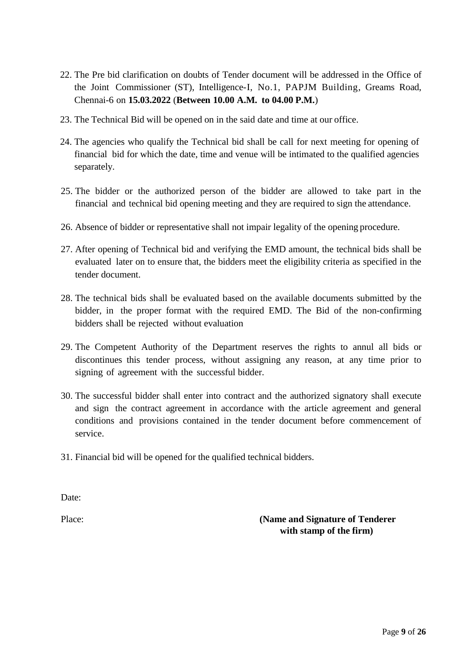- 22. The Pre bid clarification on doubts of Tender document will be addressed in the Office of the Joint Commissioner (ST), Intelligence-I, No.1, PAPJM Building, Greams Road, Chennai-6 on **15.03.2022** (**Between 10.00 A.M. to 04.00 P.M.**)
- 23. The Technical Bid will be opened on in the said date and time at our office.
- 24. The agencies who qualify the Technical bid shall be call for next meeting for opening of financial bid for which the date, time and venue will be intimated to the qualified agencies separately.
- 25. The bidder or the authorized person of the bidder are allowed to take part in the financial and technical bid opening meeting and they are required to sign the attendance.
- 26. Absence of bidder or representative shall not impair legality of the opening procedure.
- 27. After opening of Technical bid and verifying the EMD amount, the technical bids shall be evaluated later on to ensure that, the bidders meet the eligibility criteria as specified in the tender document.
- 28. The technical bids shall be evaluated based on the available documents submitted by the bidder, in the proper format with the required EMD. The Bid of the non-confirming bidders shall be rejected without evaluation
- 29. The Competent Authority of the Department reserves the rights to annul all bids or discontinues this tender process, without assigning any reason, at any time prior to signing of agreement with the successful bidder.
- 30. The successful bidder shall enter into contract and the authorized signatory shall execute and sign the contract agreement in accordance with the article agreement and general conditions and provisions contained in the tender document before commencement of service.
- 31. Financial bid will be opened for the qualified technical bidders.

Date:

Place: **(Name and Signature of Tenderer with stamp of the firm)**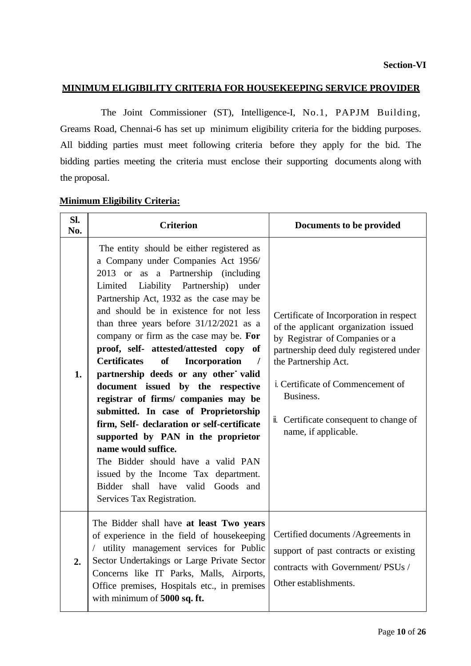#### **MINIMUM ELIGIBILITY CRITERIA FOR HOUSEKEEPING SERVICE PROVIDER**

The Joint Commissioner (ST), Intelligence-I, No.1, PAPJM Building, Greams Road, Chennai-6 has set up minimum eligibility criteria for the bidding purposes. All bidding parties must meet following criteria before they apply for the bid. The bidding parties meeting the criteria must enclose their supporting documents along with the proposal.

| Sl.<br>No. | <b>Criterion</b>                                                                                                                                                                                                                                                                                                                                                                                                                                                                                                                                                                                                                                                                                                                                                                                                                                                                       | Documents to be provided                                                                                                                                                                                                                                                                                |
|------------|----------------------------------------------------------------------------------------------------------------------------------------------------------------------------------------------------------------------------------------------------------------------------------------------------------------------------------------------------------------------------------------------------------------------------------------------------------------------------------------------------------------------------------------------------------------------------------------------------------------------------------------------------------------------------------------------------------------------------------------------------------------------------------------------------------------------------------------------------------------------------------------|---------------------------------------------------------------------------------------------------------------------------------------------------------------------------------------------------------------------------------------------------------------------------------------------------------|
| 1.         | The entity should be either registered as<br>a Company under Companies Act 1956/<br>2013 or as a Partnership (including<br>Limited Liability Partnership)<br>under<br>Partnership Act, 1932 as the case may be<br>and should be in existence for not less<br>than three years before 31/12/2021 as a<br>company or firm as the case may be. For<br>proof, self- attested/attested copy of<br><b>of</b><br>Incorporation<br><b>Certificates</b><br>$\sqrt{ }$<br>partnership deeds or any other valid<br>document issued by the respective<br>registrar of firms/ companies may be<br>submitted. In case of Proprietorship<br>firm, Self- declaration or self-certificate<br>supported by PAN in the proprietor<br>name would suffice.<br>The Bidder should have a valid PAN<br>issued by the Income Tax department.<br>Bidder shall have valid Goods and<br>Services Tax Registration. | Certificate of Incorporation in respect<br>of the applicant organization issued<br>by Registrar of Companies or a<br>partnership deed duly registered under<br>the Partnership Act.<br>i. Certificate of Commencement of<br>Business.<br>i. Certificate consequent to change of<br>name, if applicable. |
| 2.         | The Bidder shall have at least Two years<br>of experience in the field of housekeeping<br>/ utility management services for Public<br>Sector Undertakings or Large Private Sector<br>Concerns like IT Parks, Malls, Airports,<br>Office premises, Hospitals etc., in premises<br>with minimum of 5000 sq. ft.                                                                                                                                                                                                                                                                                                                                                                                                                                                                                                                                                                          | Certified documents /Agreements in<br>support of past contracts or existing<br>contracts with Government/PSUs/<br>Other establishments.                                                                                                                                                                 |

#### **Minimum Eligibility Criteria:**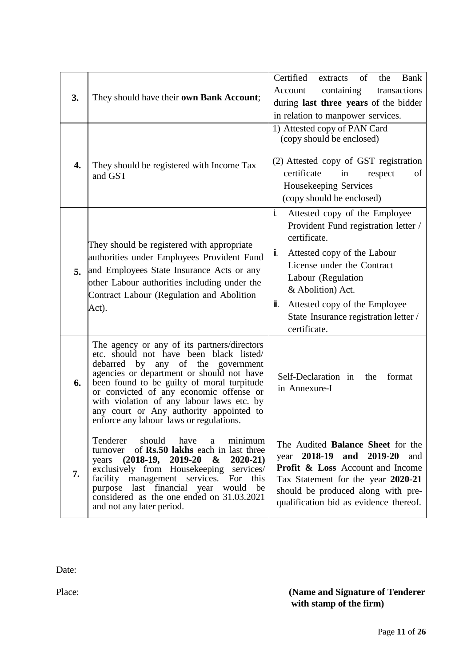| 3. | They should have their own Bank Account;                                                                                                                                                                                                                                                                                                                                                                | Certified<br>of<br>Bank<br>the<br>extracts<br>Account<br>containing<br>transactions<br>during last three years of the bidder<br>in relation to manpower services.                                                                                                                                           |
|----|---------------------------------------------------------------------------------------------------------------------------------------------------------------------------------------------------------------------------------------------------------------------------------------------------------------------------------------------------------------------------------------------------------|-------------------------------------------------------------------------------------------------------------------------------------------------------------------------------------------------------------------------------------------------------------------------------------------------------------|
| 4. | They should be registered with Income Tax<br>and GST                                                                                                                                                                                                                                                                                                                                                    | 1) Attested copy of PAN Card<br>(copy should be enclosed)<br>(2) Attested copy of GST registration<br>certificate<br>in<br>of<br>respect<br>Housekeeping Services<br>(copy should be enclosed)                                                                                                              |
| 5. | They should be registered with appropriate<br>authorities under Employees Provident Fund<br>and Employees State Insurance Acts or any<br>other Labour authorities including under the<br>Contract Labour (Regulation and Abolition<br>Act).                                                                                                                                                             | i.<br>Attested copy of the Employee<br>Provident Fund registration letter /<br>certificate.<br>Ï.<br>Attested copy of the Labour<br>License under the Contract<br>Labour (Regulation<br>& Abolition) Act.<br>Attested copy of the Employee<br>III.<br>State Insurance registration letter /<br>certificate. |
| 6. | The agency or any of its partners/directors<br>etc. should not have been black listed/<br>by any of the government<br>debarred<br>agencies or department or should not have<br>been found to be guilty of moral turpitude<br>or convicted of any economic offense or<br>with violation of any labour laws etc. by<br>any court or Any authority appointed to<br>enforce any labour laws or regulations. | Self-Declaration in the<br>format<br>in Annexure-I                                                                                                                                                                                                                                                          |
| 7. | Tenderer should have<br>minimum<br>a<br>turnover of Rs.50 lakhs each in last three<br>years (2018-19, 2019-20)<br>$\boldsymbol{\alpha}$<br>$2020 - 21$<br>exclusively from Housekeeping services/<br>facility management services.<br>this<br>For<br>purpose last financial year would be<br>considered as the one ended on 31.03.2021<br>and not any later period.                                     | The Audited Balance Sheet for the<br>year 2018-19<br>2019-20 and<br>and<br><b>Profit &amp; Loss Account and Income</b><br>Tax Statement for the year 2020-21<br>should be produced along with pre-<br>qualification bid as evidence thereof.                                                                |

Date:

Place: **(Name and Signature of Tenderer with stamp of the firm)**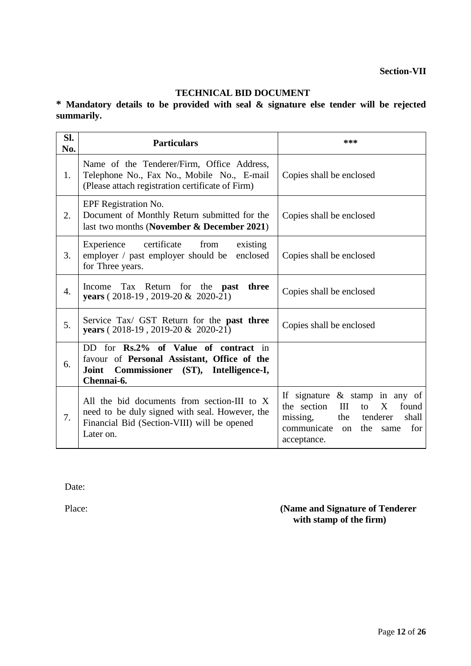### **TECHNICAL BID DOCUMENT**

**\* Mandatory details to be provided with seal & signature else tender will be rejected summarily.**

| SI.<br>No.       | <b>Particulars</b>                                                                                                                                        | ***                                                                                                                                                                                            |  |
|------------------|-----------------------------------------------------------------------------------------------------------------------------------------------------------|------------------------------------------------------------------------------------------------------------------------------------------------------------------------------------------------|--|
| 1.               | Name of the Tenderer/Firm, Office Address,<br>Telephone No., Fax No., Mobile No., E-mail<br>(Please attach registration certificate of Firm)              | Copies shall be enclosed                                                                                                                                                                       |  |
| 2.               | EPF Registration No.<br>Document of Monthly Return submitted for the<br>last two months (November & December 2021)                                        | Copies shall be enclosed                                                                                                                                                                       |  |
| 3.               | Experience certificate<br>from<br>existing<br>employer / past employer should be<br>enclosed<br>for Three years.                                          | Copies shall be enclosed                                                                                                                                                                       |  |
| $\overline{4}$ . | Income Tax Return for the <b>past</b><br>three<br>years ( $2018-19$ , $2019-20 & 2020-21$ )                                                               | Copies shall be enclosed                                                                                                                                                                       |  |
| 5.               | Service Tax/ GST Return for the <b>past three</b><br>years (2018-19, 2019-20 & 2020-21)                                                                   | Copies shall be enclosed                                                                                                                                                                       |  |
| 6.               | DD for Rs.2% of Value of contract in<br>favour of Personal Assistant, Office of the<br>Commissioner (ST), Intelligence-I,<br>Joint<br>Chennai-6.          |                                                                                                                                                                                                |  |
| 7.               | All the bid documents from section-III to X<br>need to be duly signed with seal. However, the<br>Financial Bid (Section-VIII) will be opened<br>Later on. | If signature $\&$ stamp in any of<br>the section<br>III<br>X<br>found<br>$\mathsf{to}$<br>missing,<br>the<br>tenderer<br>shall<br>communicate<br>for<br>the<br>$\alpha$<br>same<br>acceptance. |  |

Date:

Place: **(Name and Signature of Tenderer with stamp of the firm)**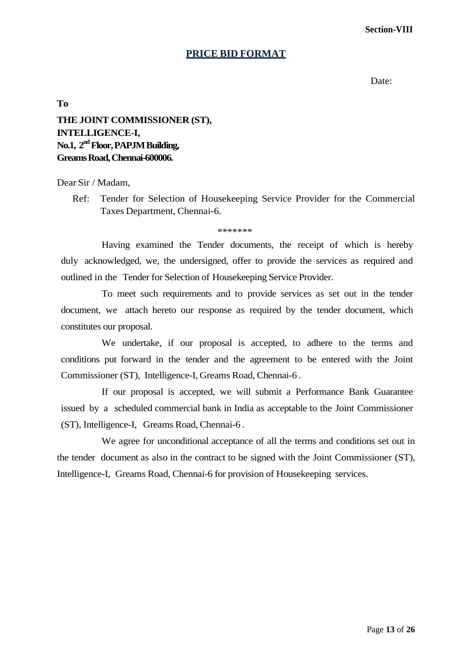**Section-VIII**

#### **PRICE BID FORMAT**

Date:

**To**

# **THE JOINT COMMISSIONER (ST), INTELLIGENCE-I, No.1, 2 ndFloor,PAPJM Building, Greams Road, Chennai-600006.**

#### Dear Sir / Madam,

Ref: Tender for Selection of Housekeeping Service Provider for the Commercial Taxes Department, Chennai-6.

\*\*\*\*\*\*\*

Having examined the Tender documents, the receipt of which is hereby duly acknowledged, we, the undersigned, offer to provide the services as required and outlined in the Tender for Selection of Housekeeping Service Provider.

To meet such requirements and to provide services as set out in the tender document, we attach hereto our response as required by the tender document, which constitutes our proposal.

We undertake, if our proposal is accepted, to adhere to the terms and conditions put forward in the tender and the agreement to be entered with the Joint Commissioner (ST), Intelligence-I, Greams Road, Chennai-6 .

If our proposal is accepted, we will submit a Performance Bank Guarantee issued by a scheduled commercial bank in India as acceptable to the Joint Commissioner (ST), Intelligence-I, Greams Road, Chennai-6 .

We agree for unconditional acceptance of all the terms and conditions set out in the tender document as also in the contract to be signed with the Joint Commissioner (ST), Intelligence-I, Greams Road, Chennai-6 for provision of Housekeeping services.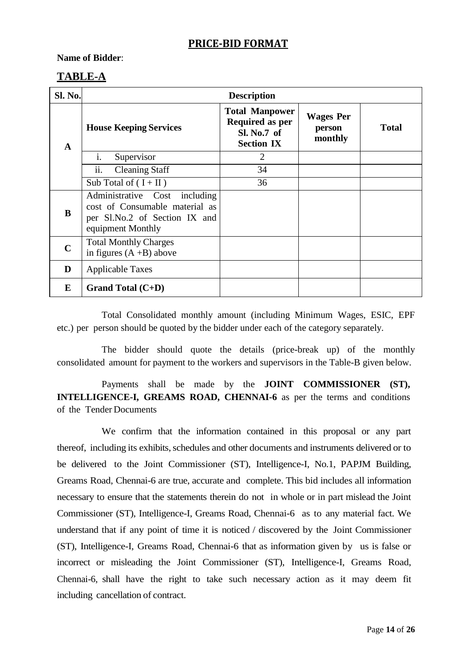# **PRICE-BID FORMAT**

#### **Name of Bidder**:

# **TABLE-A**

| Sl. No.     | <b>Description</b>                                                                                                    |                                                                                     |                                       |              |  |
|-------------|-----------------------------------------------------------------------------------------------------------------------|-------------------------------------------------------------------------------------|---------------------------------------|--------------|--|
| A           | <b>House Keeping Services</b>                                                                                         | <b>Total Manpower</b><br><b>Required as per</b><br>Sl. No.7 of<br><b>Section IX</b> | <b>Wages Per</b><br>person<br>monthly | <b>Total</b> |  |
|             | Supervisor<br>$\mathbf{1}$ .                                                                                          | $\overline{2}$                                                                      |                                       |              |  |
|             | ii.<br><b>Cleaning Staff</b>                                                                                          | 34                                                                                  |                                       |              |  |
|             | Sub Total of $(I + II)$                                                                                               | 36                                                                                  |                                       |              |  |
| B           | Administrative Cost including<br>cost of Consumable material as<br>per Sl.No.2 of Section IX and<br>equipment Monthly |                                                                                     |                                       |              |  |
| $\mathbf C$ | <b>Total Monthly Charges</b><br>in figures $(A + B)$ above                                                            |                                                                                     |                                       |              |  |
| D           | <b>Applicable Taxes</b>                                                                                               |                                                                                     |                                       |              |  |
| E           | Grand Total $(C+D)$                                                                                                   |                                                                                     |                                       |              |  |

Total Consolidated monthly amount (including Minimum Wages, ESIC, EPF etc.) per person should be quoted by the bidder under each of the category separately.

The bidder should quote the details (price-break up) of the monthly consolidated amount for payment to the workers and supervisors in the Table-B given below.

Payments shall be made by the **JOINT COMMISSIONER (ST), INTELLIGENCE-I, GREAMS ROAD, CHENNAI-6** as per the terms and conditions of the Tender Documents

We confirm that the information contained in this proposal or any part thereof, including its exhibits, schedules and other documents and instruments delivered or to be delivered to the Joint Commissioner (ST), Intelligence-I, No.1, PAPJM Building, Greams Road, Chennai-6 are true, accurate and complete. This bid includes all information necessary to ensure that the statements therein do not in whole or in part mislead the Joint Commissioner (ST), Intelligence-I, Greams Road, Chennai-6 as to any material fact. We understand that if any point of time it is noticed / discovered by the Joint Commissioner (ST), Intelligence-I, Greams Road, Chennai-6 that as information given by us is false or incorrect or misleading the Joint Commissioner (ST), Intelligence-I, Greams Road, Chennai-6, shall have the right to take such necessary action as it may deem fit including cancellation of contract.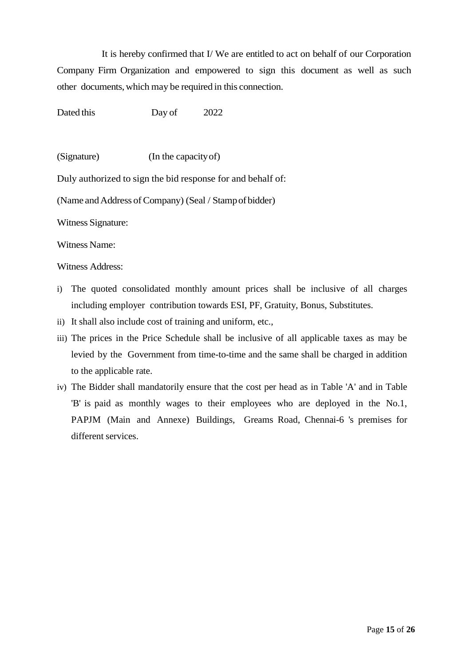It is hereby confirmed that I/ We are entitled to act on behalf of our Corporation Company Firm Organization and empowered to sign this document as well as such other documents, which may be required in this connection.

Dated this Day of 2022

(Signature) (In the capacityof)

Duly authorized to sign the bid response for and behalf of:

(Name and Address of Company) (Seal / Stamp of bidder)

Witness Signature:

Witness Name:

Witness Address:

- i) The quoted consolidated monthly amount prices shall be inclusive of all charges including employer contribution towards ESI, PF, Gratuity, Bonus, Substitutes.
- ii) It shall also include cost of training and uniform, etc.,
- iii) The prices in the Price Schedule shall be inclusive of all applicable taxes as may be levied by the Government from time-to-time and the same shall be charged in addition to the applicable rate.
- iv) The Bidder shall mandatorily ensure that the cost per head as in Table 'A' and in Table 'B' is paid as monthly wages to their employees who are deployed in the No.1, PAPJM (Main and Annexe) Buildings, Greams Road, Chennai-6 's premises for different services.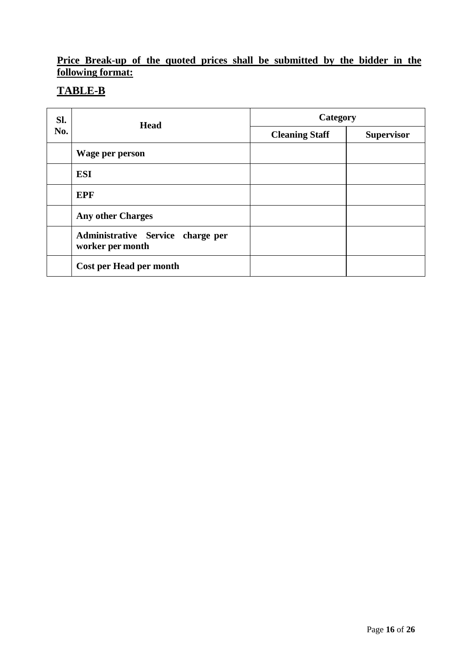# **Price Break-up of the quoted prices shall be submitted by the bidder in the following format:**

# **TABLE-B**

| Sl. | Head                                                  | Category              |                   |  |
|-----|-------------------------------------------------------|-----------------------|-------------------|--|
| No. |                                                       | <b>Cleaning Staff</b> | <b>Supervisor</b> |  |
|     | Wage per person                                       |                       |                   |  |
|     | <b>ESI</b>                                            |                       |                   |  |
|     | <b>EPF</b>                                            |                       |                   |  |
|     | <b>Any other Charges</b>                              |                       |                   |  |
|     | Administrative Service charge per<br>worker per month |                       |                   |  |
|     | Cost per Head per month                               |                       |                   |  |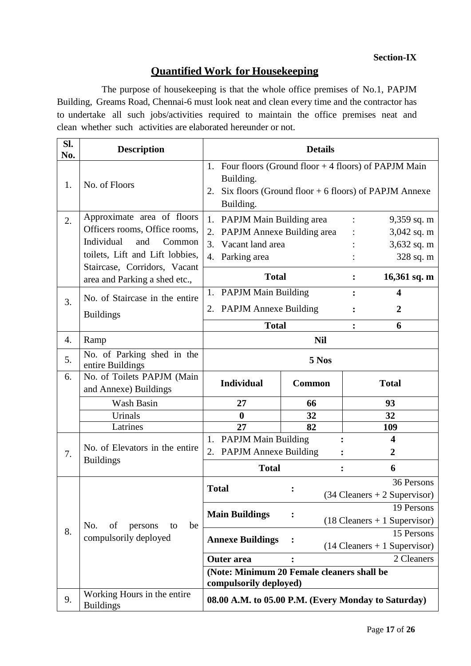### **Section-IX**

# **Quantified Work for Housekeeping**

The purpose of housekeeping is that the whole office premises of No.1, PAPJM Building, Greams Road, Chennai-6 must look neat and clean every time and the contractor has to undertake all such jobs/activities required to maintain the office premises neat and clean whether such activities are elaborated hereunder or not.

| SI.<br>No. | <b>Description</b>                                                                                                                                            | <b>Details</b>                                                                                                                                       |                                                            |                                                              |  |
|------------|---------------------------------------------------------------------------------------------------------------------------------------------------------------|------------------------------------------------------------------------------------------------------------------------------------------------------|------------------------------------------------------------|--------------------------------------------------------------|--|
| 1.         | No. of Floors                                                                                                                                                 | Four floors (Ground floor $+4$ floors) of PAPJM Main<br>1.<br>Building.<br>Six floors (Ground floor $+$ 6 floors) of PAPJM Annexe<br>2.<br>Building. |                                                            |                                                              |  |
| 2.         | Approximate area of floors<br>Officers rooms, Office rooms,<br>Individual<br>and<br>Common<br>toilets, Lift and Lift lobbies,<br>Staircase, Corridors, Vacant | 1. PAPJM Main Building area<br>PAPJM Annexe Building area<br>2.<br>$\overline{3}$ .<br>Vacant land area<br>4. Parking area                           | $9,359$ sq. m<br>$3,042$ sq. m<br>3,632 sq. m<br>328 sq. m |                                                              |  |
|            | area and Parking a shed etc.,                                                                                                                                 | <b>Total</b>                                                                                                                                         |                                                            | 16,361 sq. m                                                 |  |
| 3.         | No. of Staircase in the entire<br><b>Buildings</b>                                                                                                            | 1. PAPJM Main Building<br>2. PAPJM Annexe Building                                                                                                   |                                                            | 4<br>2                                                       |  |
|            |                                                                                                                                                               | <b>Total</b>                                                                                                                                         |                                                            | 6                                                            |  |
| 4.<br>5.   | Ramp<br>No. of Parking shed in the<br>entire Buildings                                                                                                        | <b>Nil</b><br>5 Nos                                                                                                                                  |                                                            |                                                              |  |
| 6.         | No. of Toilets PAPJM (Main<br>and Annexe) Buildings                                                                                                           | <b>Individual</b>                                                                                                                                    | <b>Common</b>                                              |                                                              |  |
|            | Wash Basin                                                                                                                                                    | 27                                                                                                                                                   | 66                                                         | 93                                                           |  |
|            | Urinals                                                                                                                                                       | $\bf{0}$                                                                                                                                             | 32                                                         | 32                                                           |  |
|            | Latrines                                                                                                                                                      | 27                                                                                                                                                   | 82                                                         | 109                                                          |  |
| 7.         | No. of Elevators in the entire                                                                                                                                | 1. PAPJM Main Building<br><b>PAPJM Annexe Building</b><br>2.                                                                                         |                                                            | $\overline{\mathbf{4}}$<br>$\overline{2}$                    |  |
|            | <b>Buildings</b>                                                                                                                                              | <b>Total</b>                                                                                                                                         |                                                            | 6                                                            |  |
|            |                                                                                                                                                               | <b>Total</b>                                                                                                                                         |                                                            | 36 Persons<br>$(34 \text{ Clemers} + 2 \text{Supervisor})$   |  |
|            | No.<br>of<br>be<br>persons<br>to                                                                                                                              | <b>Main Buildings</b>                                                                                                                                |                                                            | 19 Persons<br>$(18 \text{ Cleaners} + 1 \text{ Supervisor})$ |  |
| 8.         | compulsorily deployed                                                                                                                                         | <b>Annexe Buildings</b>                                                                                                                              |                                                            | 15 Persons<br>$(14 \text{ Cleaners} + 1 \text{ Supervisor})$ |  |
|            |                                                                                                                                                               | <b>Outer</b> area                                                                                                                                    |                                                            | 2 Cleaners                                                   |  |
|            |                                                                                                                                                               | (Note: Minimum 20 Female cleaners shall be<br>compulsorily deployed)                                                                                 |                                                            |                                                              |  |
| 9.         | Working Hours in the entire<br><b>Buildings</b>                                                                                                               |                                                                                                                                                      |                                                            | 08.00 A.M. to 05.00 P.M. (Every Monday to Saturday)          |  |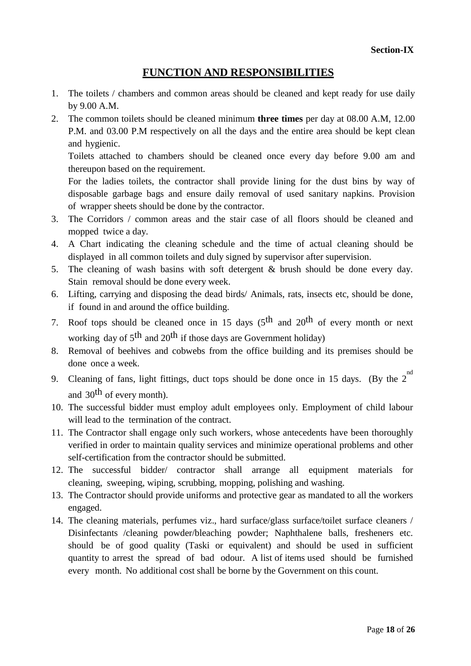### **FUNCTION AND RESPONSIBILITIES**

- 1. The toilets / chambers and common areas should be cleaned and kept ready for use daily by 9.00 A.M.
- 2. The common toilets should be cleaned minimum **three times** per day at 08.00 A.M, 12.00 P.M. and 03.00 P.M respectively on all the days and the entire area should be kept clean and hygienic.

Toilets attached to chambers should be cleaned once every day before 9.00 am and thereupon based on the requirement.

For the ladies toilets, the contractor shall provide lining for the dust bins by way of disposable garbage bags and ensure daily removal of used sanitary napkins. Provision of wrapper sheets should be done by the contractor.

- 3. The Corridors / common areas and the stair case of all floors should be cleaned and mopped twice a day.
- 4. A Chart indicating the cleaning schedule and the time of actual cleaning should be displayed in all common toilets and duly signed by supervisor after supervision.
- 5. The cleaning of wash basins with soft detergent & brush should be done every day. Stain removal should be done every week.
- 6. Lifting, carrying and disposing the dead birds/ Animals, rats, insects etc, should be done, if found in and around the office building.
- 7. Roof tops should be cleaned once in 15 days  $(5<sup>th</sup>$  and  $20<sup>th</sup>$  of every month or next working day of 5<sup>th</sup> and 20<sup>th</sup> if those days are Government holiday)
- 8. Removal of beehives and cobwebs from the office building and its premises should be done once a week.
- 9. Cleaning of fans, light fittings, duct tops should be done once in 15 days. (By the  $2^{nd}$ and 30th of every month).
- 10. The successful bidder must employ adult employees only. Employment of child labour will lead to the termination of the contract.
- 11. The Contractor shall engage only such workers, whose antecedents have been thoroughly verified in order to maintain quality services and minimize operational problems and other self-certification from the contractor should be submitted.
- 12. The successful bidder/ contractor shall arrange all equipment materials for cleaning, sweeping, wiping, scrubbing, mopping, polishing and washing.
- 13. The Contractor should provide uniforms and protective gear as mandated to all the workers engaged.
- 14. The cleaning materials, perfumes viz., hard surface/glass surface/toilet surface cleaners / Disinfectants /cleaning powder/bleaching powder; Naphthalene balls, fresheners etc. should be of good quality (Taski or equivalent) and should be used in sufficient quantity to arrest the spread of bad odour. A list of items used should be furnished every month. No additional cost shall be borne by the Government on this count.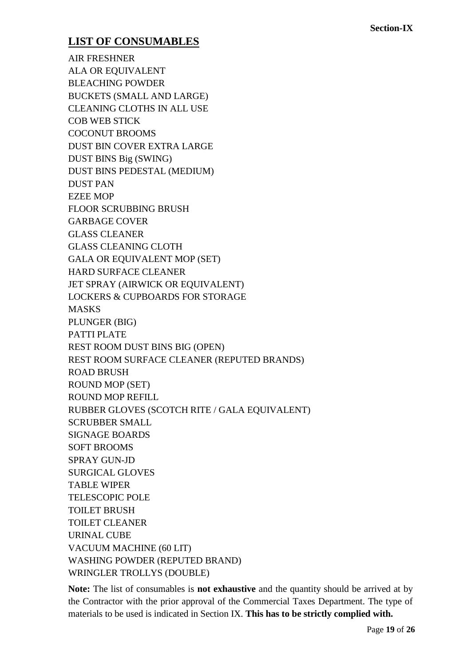# **LIST OF CONSUMABLES**

AIR FRESHNER ALA OR EQUIVALENT BLEACHING POWDER BUCKETS (SMALL AND LARGE) CLEANING CLOTHS IN ALL USE COB WEB STICK COCONUT BROOMS DUST BIN COVER EXTRA LARGE DUST BINS Big (SWING) DUST BINS PEDESTAL (MEDIUM) DUST PAN EZEE MOP FLOOR SCRUBBING BRUSH GARBAGE COVER GLASS CLEANER GLASS CLEANING CLOTH GALA OR EQUIVALENT MOP (SET) HARD SURFACE CLEANER JET SPRAY (AIRWICK OR EQUIVALENT) LOCKERS & CUPBOARDS FOR STORAGE MASKS PLUNGER (BIG) PATTI PLATE REST ROOM DUST BINS BIG (OPEN) REST ROOM SURFACE CLEANER (REPUTED BRANDS) ROAD BRUSH ROUND MOP (SET) ROUND MOP REFILL RUBBER GLOVES (SCOTCH RITE / GALA EQUIVALENT) SCRUBBER SMALL SIGNAGE BOARDS SOFT BROOMS SPRAY GUN-JD SURGICAL GLOVES TABLE WIPER TELESCOPIC POLE TOILET BRUSH TOILET CLEANER URINAL CUBE VACUUM MACHINE (60 LIT) WASHING POWDER (REPUTED BRAND) WRINGLER TROLLYS (DOUBLE)

**Note:** The list of consumables is **not exhaustive** and the quantity should be arrived at by the Contractor with the prior approval of the Commercial Taxes Department. The type of materials to be used is indicated in Section IX. **This has to be strictly complied with.**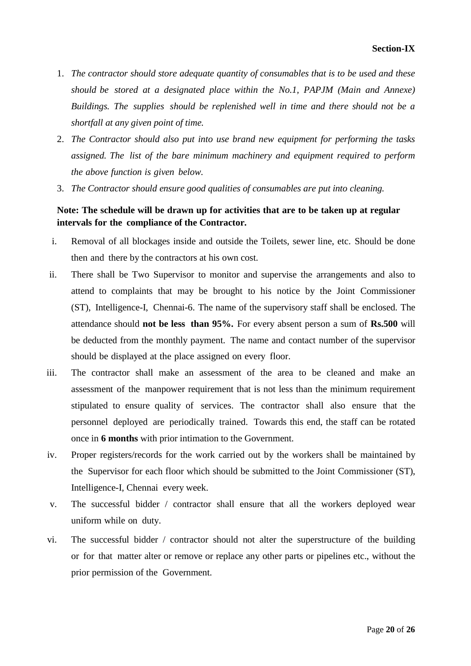- 1. *The contractor should store adequate quantity of consumables that is to be used and these should be stored at a designated place within the No.1, PAPJM (Main and Annexe) Buildings. The supplies should be replenished well in time and there should not be a shortfall at any given point of time.*
- 2. *The Contractor should also put into use brand new equipment for performing the tasks assigned. The list of the bare minimum machinery and equipment required to perform the above function is given below.*
- 3. *The Contractor should ensure good qualities of consumables are put into cleaning.*

#### **Note: The schedule will be drawn up for activities that are to be taken up at regular intervals for the compliance of the Contractor.**

- i. Removal of all blockages inside and outside the Toilets, sewer line, etc. Should be done then and there by the contractors at his own cost.
- ii. There shall be Two Supervisor to monitor and supervise the arrangements and also to attend to complaints that may be brought to his notice by the Joint Commissioner (ST), Intelligence-I, Chennai-6. The name of the supervisory staff shall be enclosed. The attendance should **not be less than 95%.** For every absent person a sum of **Rs.500** will be deducted from the monthly payment. The name and contact number of the supervisor should be displayed at the place assigned on every floor.
- iii. The contractor shall make an assessment of the area to be cleaned and make an assessment of the manpower requirement that is not less than the minimum requirement stipulated to ensure quality of services. The contractor shall also ensure that the personnel deployed are periodically trained. Towards this end, the staff can be rotated once in **6 months** with prior intimation to the Government.
- iv. Proper registers/records for the work carried out by the workers shall be maintained by the Supervisor for each floor which should be submitted to the Joint Commissioner (ST), Intelligence-I, Chennai every week.
- v. The successful bidder / contractor shall ensure that all the workers deployed wear uniform while on duty.
- vi. The successful bidder / contractor should not alter the superstructure of the building or for that matter alter or remove or replace any other parts or pipelines etc., without the prior permission of the Government.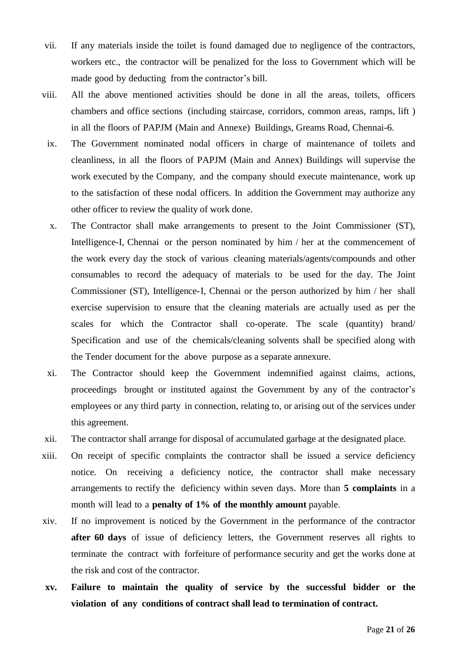- vii. If any materials inside the toilet is found damaged due to negligence of the contractors, workers etc., the contractor will be penalized for the loss to Government which will be made good by deducting from the contractor's bill.
- viii. All the above mentioned activities should be done in all the areas, toilets, officers chambers and office sections (including staircase, corridors, common areas, ramps, lift ) in all the floors of PAPJM (Main and Annexe) Buildings, Greams Road, Chennai-6.
- ix. The Government nominated nodal officers in charge of maintenance of toilets and cleanliness, in all the floors of PAPJM (Main and Annex) Buildings will supervise the work executed by the Company, and the company should execute maintenance, work up to the satisfaction of these nodal officers. In addition the Government may authorize any other officer to review the quality of work done.
- x. The Contractor shall make arrangements to present to the Joint Commissioner (ST), Intelligence-I, Chennai or the person nominated by him / her at the commencement of the work every day the stock of various cleaning materials/agents/compounds and other consumables to record the adequacy of materials to be used for the day. The Joint Commissioner (ST), Intelligence-I, Chennai or the person authorized by him / her shall exercise supervision to ensure that the cleaning materials are actually used as per the scales for which the Contractor shall co-operate. The scale (quantity) brand/ Specification and use of the chemicals/cleaning solvents shall be specified along with the Tender document for the above purpose as a separate annexure.
- xi. The Contractor should keep the Government indemnified against claims, actions, proceedings brought or instituted against the Government by any of the contractor"s employees or any third party in connection, relating to, or arising out of the services under this agreement.
- xii. The contractor shall arrange for disposal of accumulated garbage at the designated place.
- xiii. On receipt of specific complaints the contractor shall be issued a service deficiency notice. On receiving a deficiency notice, the contractor shall make necessary arrangements to rectify the deficiency within seven days. More than **5 complaints** in a month will lead to a **penalty of 1% of the monthly amount** payable.
- xiv. If no improvement is noticed by the Government in the performance of the contractor **after 60 days** of issue of deficiency letters, the Government reserves all rights to terminate the contract with forfeiture of performance security and get the works done at the risk and cost of the contractor.
- **xv. Failure to maintain the quality of service by the successful bidder or the violation of any conditions of contract shall lead to termination of contract.**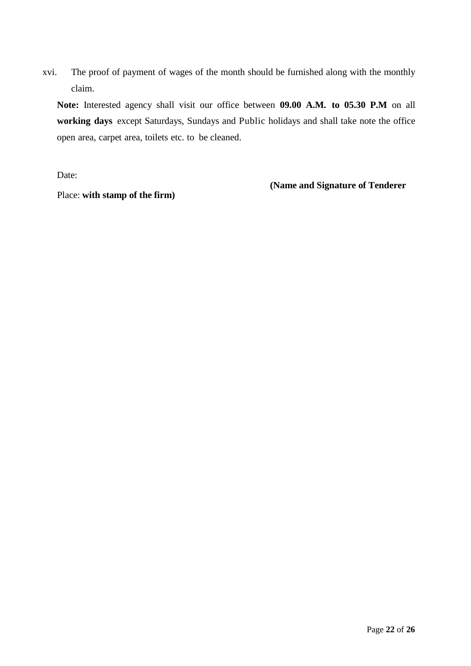xvi. The proof of payment of wages of the month should be furnished along with the monthly claim.

**Note:** Interested agency shall visit our office between **09.00 A.M. to 05.30 P.M** on all **working days** except Saturdays, Sundays and Public holidays and shall take note the office open area, carpet area, toilets etc. to be cleaned.

Date:

**(Name and Signature of Tenderer**

Place: **with stamp of the firm)**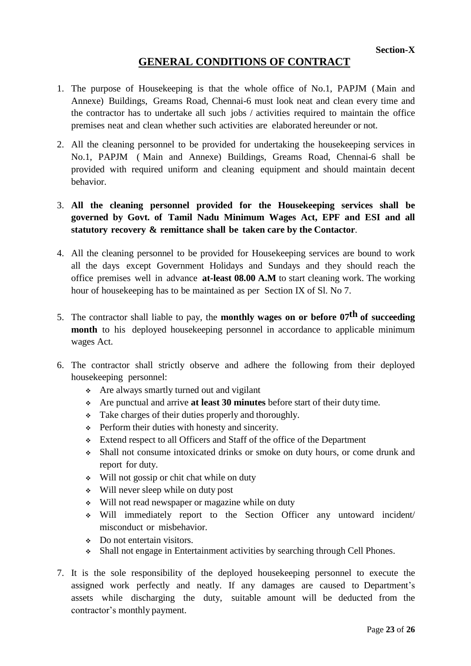# **GENERAL CONDITIONS OF CONTRACT**

- 1. The purpose of Housekeeping is that the whole office of No.1, PAPJM ( Main and Annexe) Buildings, Greams Road, Chennai-6 must look neat and clean every time and the contractor has to undertake all such jobs / activities required to maintain the office premises neat and clean whether such activities are elaborated hereunder or not.
- 2. All the cleaning personnel to be provided for undertaking the housekeeping services in No.1, PAPJM ( Main and Annexe) Buildings, Greams Road, Chennai-6 shall be provided with required uniform and cleaning equipment and should maintain decent behavior.

### 3. **All the cleaning personnel provided for the Housekeeping services shall be governed by Govt. of Tamil Nadu Minimum Wages Act, EPF and ESI and all statutory recovery & remittance shall be taken care by the Contactor**.

- 4. All the cleaning personnel to be provided for Housekeeping services are bound to work all the days except Government Holidays and Sundays and they should reach the office premises well in advance **at-least 08.00 A.M** to start cleaning work. The working hour of housekeeping has to be maintained as per Section IX of Sl. No 7.
- 5. The contractor shall liable to pay, the **monthly wages on or before 07th of succeeding month** to his deployed housekeeping personnel in accordance to applicable minimum wages Act.
- 6. The contractor shall strictly observe and adhere the following from their deployed housekeeping personnel:
	- Are always smartly turned out and vigilant
	- Are punctual and arrive **at least 30 minutes** before start of their duty time.
	- Take charges of their duties properly and thoroughly.
	- Perform their duties with honesty and sincerity.
	- Extend respect to all Officers and Staff of the office of the Department
	- Shall not consume intoxicated drinks or smoke on duty hours, or come drunk and report for duty.
	- Will not gossip or chit chat while on duty
	- Will never sleep while on duty post
	- Will not read newspaper or magazine while on duty
	- Will immediately report to the Section Officer any untoward incident/ misconduct or misbehavior.
	- Do not entertain visitors.
	- Shall not engage in Entertainment activities by searching through Cell Phones.
- 7. It is the sole responsibility of the deployed housekeeping personnel to execute the assigned work perfectly and neatly. If any damages are caused to Department's assets while discharging the duty, suitable amount will be deducted from the contractor"s monthly payment.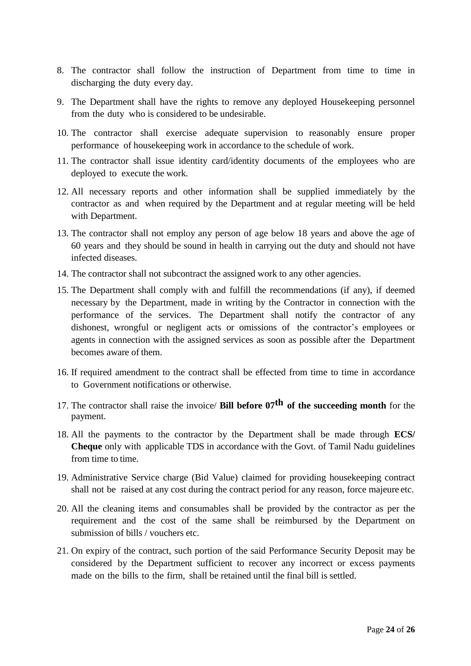- 8. The contractor shall follow the instruction of Department from time to time in discharging the duty every day.
- 9. The Department shall have the rights to remove any deployed Housekeeping personnel from the duty who is considered to be undesirable.
- 10. The contractor shall exercise adequate supervision to reasonably ensure proper performance of housekeeping work in accordance to the schedule of work.
- 11. The contractor shall issue identity card/identity documents of the employees who are deployed to execute the work.
- 12. All necessary reports and other information shall be supplied immediately by the contractor as and when required by the Department and at regular meeting will be held with Department.
- 13. The contractor shall not employ any person of age below 18 years and above the age of 60 years and they should be sound in health in carrying out the duty and should not have infected diseases.
- 14. The contractor shall not subcontract the assigned work to any other agencies.
- 15. The Department shall comply with and fulfill the recommendations (if any), if deemed necessary by the Department, made in writing by the Contractor in connection with the performance of the services. The Department shall notify the contractor of any dishonest, wrongful or negligent acts or omissions of the contractor's employees or agents in connection with the assigned services as soon as possible after the Department becomes aware of them.
- 16. If required amendment to the contract shall be effected from time to time in accordance to Government notifications or otherwise.
- 17. The contractor shall raise the invoice/ **Bill before 07th of the succeeding month** for the payment.
- 18. All the payments to the contractor by the Department shall be made through **ECS/ Cheque** only with applicable TDS in accordance with the Govt. of Tamil Nadu guidelines from time to time.
- 19. Administrative Service charge (Bid Value) claimed for providing housekeeping contract shall not be raised at any cost during the contract period for any reason, force majeure etc.
- 20. All the cleaning items and consumables shall be provided by the contractor as per the requirement and the cost of the same shall be reimbursed by the Department on submission of bills / vouchers etc.
- 21. On expiry of the contract, such portion of the said Performance Security Deposit may be considered by the Department sufficient to recover any incorrect or excess payments made on the bills to the firm, shall be retained until the final bill is settled.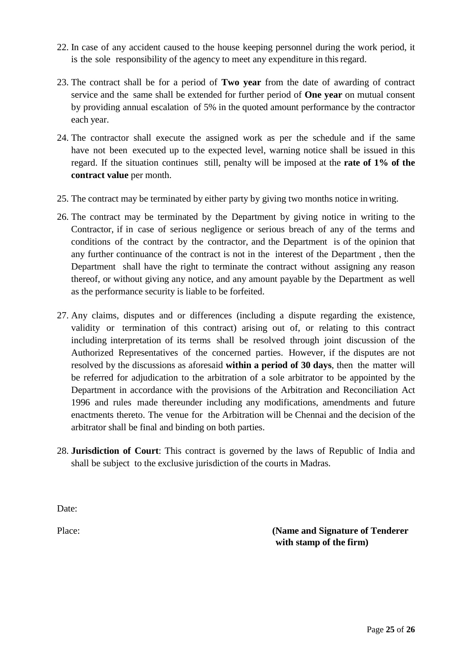- 22. In case of any accident caused to the house keeping personnel during the work period, it is the sole responsibility of the agency to meet any expenditure in thisregard.
- 23. The contract shall be for a period of **Two year** from the date of awarding of contract service and the same shall be extended for further period of **One year** on mutual consent by providing annual escalation of 5% in the quoted amount performance by the contractor each year.
- 24. The contractor shall execute the assigned work as per the schedule and if the same have not been executed up to the expected level, warning notice shall be issued in this regard. If the situation continues still, penalty will be imposed at the **rate of 1% of the contract value** per month.
- 25. The contract may be terminated by either party by giving two months notice in writing.
- 26. The contract may be terminated by the Department by giving notice in writing to the Contractor, if in case of serious negligence or serious breach of any of the terms and conditions of the contract by the contractor, and the Department is of the opinion that any further continuance of the contract is not in the interest of the Department , then the Department shall have the right to terminate the contract without assigning any reason thereof, or without giving any notice, and any amount payable by the Department as well as the performance security is liable to be forfeited.
- 27. Any claims, disputes and or differences (including a dispute regarding the existence, validity or termination of this contract) arising out of, or relating to this contract including interpretation of its terms shall be resolved through joint discussion of the Authorized Representatives of the concerned parties. However, if the disputes are not resolved by the discussions as aforesaid **within a period of 30 days**, then the matter will be referred for adjudication to the arbitration of a sole arbitrator to be appointed by the Department in accordance with the provisions of the Arbitration and Reconciliation Act 1996 and rules made thereunder including any modifications, amendments and future enactments thereto. The venue for the Arbitration will be Chennai and the decision of the arbitrator shall be final and binding on both parties.
- 28. **Jurisdiction of Court**: This contract is governed by the laws of Republic of India and shall be subject to the exclusive jurisdiction of the courts in Madras.

Date:

Place: **(Name and Signature of Tenderer with stamp of the firm)**